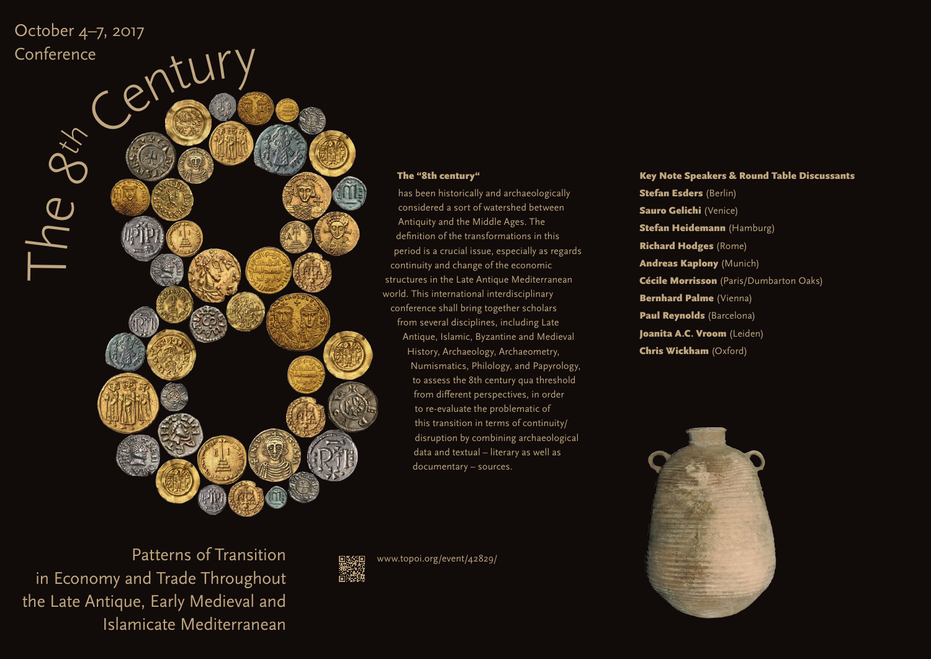

#### The "8th century"

has been historically and archaeologically considered a sort of watershed between Antiquity and the Middle Ages. The definition of the transformations in this period is a crucial issue, especially as regards continuity and change of the economic structures in the Late Antique Mediterranean world. This international interdisciplinary conference shall bring together scholars from several disciplines, including Late Antique, Islamic, Byzantine and Medieval History, Archaeology, Archaeometry, Numismatics, Philology, and Papyrology, to assess the 8th century qua threshold from different perspectives, in order to re-evaluate the problematic of this transition in terms of continuity/ disruption by combining archaeological data and textual – literary as well as documentary – sources.

Patterns of Transition in Economy and Trade Throughout the Late Antique, Early Medieval and Islamicate Mediterranean



www.topoi.org/event/42829/

# Key Note Speakers & Round Table Discussants

Stefan Esders (Berlin) Sauro Gelichi (Venice) Stefan Heidemann (Hamburg) Richard Hodges (Rome) Andreas Kaplony (Munich) Cécile Morrisson (Paris/Dumbarton Oaks) Bernhard Palme (Vienna) Paul Reynolds (Barcelona) Joanita A.C. Vroom (Leiden) Chris Wickham (Oxford)

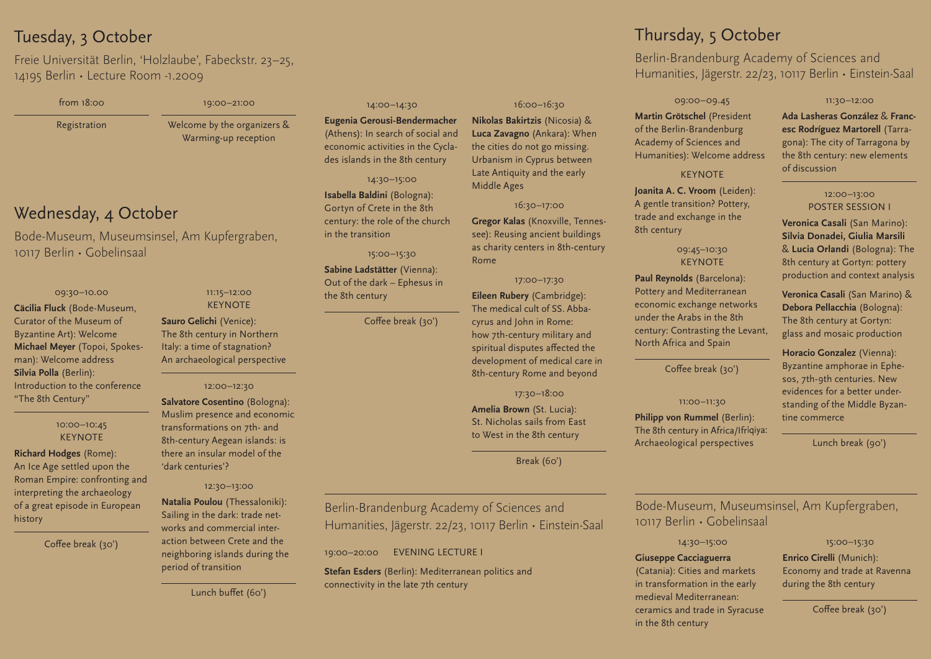# Tuesday, 3 October

Freie Universität Berlin, 'Holzlaube', Fabeckstr. 23–25, 14195 Berlin • Lecture Room -1.2009

| from 18:00   | 19:00-21:00                                         |
|--------------|-----------------------------------------------------|
| Registration | Welcome by the organizers &<br>Warming-up reception |

# Wednesday, 4 October

Bode-Museum, Museumsinsel, Am Kupfergraben, 10117 Berlin • Gobelinsaal

#### 09:30–10.00

**Cäcilia Fluck** (Bode-Museum, Curator of the Museum of Byzantine Art): Welcome **Michael Meyer** (Topoi, Spokesman): Welcome address **Silvia Polla** (Berlin): Introduction to the conference "The 8th Century"

#### 10:00–10:45 **KEYNOTE**

**Richard Hodges** (Rome): An Ice Age settled upon the Roman Empire: confronting and interpreting the archaeology of a great episode in European history

Coffee break (30')

## 11:15–12:00 **KEYNOTE**

**Sauro Gelichi** (Venice): The 8th century in Northern Italy: a time of stagnation? An archaeological perspective

## 12:00–12:30

**Salvatore Cosentino** (Bologna): Muslim presence and economic transformations on 7th- and 8th-century Aegean islands: is there an insular model of the 'dark centuries'?

# 12:30–13:00

**Natalia Poulou** (Thessaloniki): Sailing in the dark: trade networks and commercial interaction between Crete and the neighboring islands during the period of transition

# Lunch buffet (60')

#### 14:00–14:30

**Eugenia Gerousi-Bendermacher**  Athens): In search of social and economic activities in the Cyclades islands in the 8th century

14:30–15:00 **Isabella Baldini** (Bologna): Gortyn of Crete in the 8th century: the role of the church in the transition

15:00–15:30

**Sabine Ladstätter** (Vienna): Out of the dark – Ephesus in the 8th century

Coffee break (30')

## 16:00–16:30

**Nikolas Bakirtzis** (Nicosia) & **Luca Zavagno** (Ankara): When the cities do not go missing. Urbanism in Cyprus between Late Antiquity and the early Middle Ages

#### 16:30–17:00

**Gregor Kalas** (Knoxville, Tennessee): Reusing ancient buildings as charity centers in 8th-century Rome

#### 17:00–17:30

**Eileen Rubery** (Cambridge): The medical cult of SS. Abbacyrus and John in Rome: how 7th-century military and spiritual disputes affected the development of medical care in 8th-century Rome and beyond

17:30–18:00

**Amelia Brown** (St. Lucia): St. Nicholas sails from East to West in the 8th century

Break (60')

# Berlin-Brandenburg Academy of Sciences and Humanities, Jägerstr. 22/23, 10117 Berlin • Einstein-Saal

19:00–20:00 EVENING LECTURE I

**Stefan Esders** (Berlin): Mediterranean politics and connectivity in the late 7th century

# Thursday, 5 October

Berlin-Brandenburg Academy of Sciences and Humanities, Jägerstr. 22/23, 10117 Berlin • Einstein-Saal

#### 09:00–09.45

**Martin Grötschel** (President of the Berlin-Brandenburg Academy of Sciences and Humanities): Welcome address

#### **KEYNOTE**

**Joanita A. C. Vroom** (Leiden): A gentle transition? Pottery, trade and exchange in the 8th century

## 09:45–10:30 KEYNOTE

**Paul Reynolds** (Barcelona): Pottery and Mediterranean economic exchange networks under the Arabs in the 8th century: Contrasting the Levant, North Africa and Spain

## Coffee break (30')

## 11:00–11:30

**Philipp von Rummel (Berlin):** The 8th century in Africa/Ifrīqiya: Archaeological perspectives

11:30–12:00

# **Ada Lasheras González** & **Francesc Rodríguez Martorell** (Tarragona): The city of Tarragona by the 8th century: new elements of discussion

#### 12:00–13:00 POSTER SESSION I

**Veronica Casali** (San Marino): **Silvia Donadei, Giulia Marsili**  & **Lucia Orlandi** (Bologna): The 8th century at Gortyn: pottery production and context analysis

**Veronica Casali** (San Marino) & **Debora Pellacchia** (Bologna): The 8th century at Gortyn: glass and mosaic production

**Horacio Gonzalez** (Vienna): Byzantine amphorae in Ephesos, 7th-9th centuries. New evidences for a better understanding of the Middle Byzantine commerce

Lunch break (90')

Bode-Museum, Museumsinsel, Am Kupfergraben, 10117 Berlin • Gobelinsaal



# **Giuseppe Cacciaguerra**

(Catania): Cities and markets in transformation in the early medieval Mediterranean: ceramics and trade in Syracuse in the 8th century

#### 15:00–15:30

**Enrico Cirelli** (Munich): Economy and trade at Ravenna during the 8th century

Coffee break (30')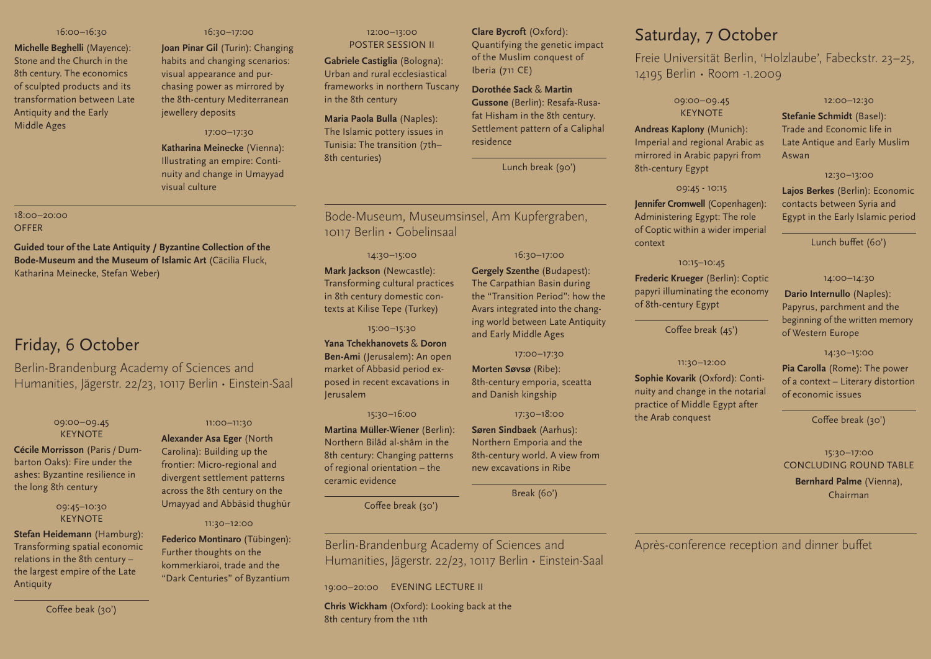#### 16:00–16:30

**Michelle Beghelli** (Mayence): Stone and the Church in the 8th century. The economics of sculpted products and its transformation between Late Antiquity and the Early Middle Ages

#### 16:30–17:00

**Joan Pinar Gil** (Turin): Changing habits and changing scenarios: visual appearance and purchasing power as mirrored by the 8th-century Mediterranean jewellery deposits

#### 17:00–17:30

**Katharina Meinecke** (Vienna): Illustrating an empire: Continuity and change in Umayyad visual culture

#### 18:00–20:00 **OFFER**

**Guided tour of the Late Antiquity / Byzantine Collection of the Bode-Museum and the Museum of Islamic Art** (Cäcilia Fluck, Katharina Meinecke, Stefan Weber)

# Friday, 6 October

Berlin-Brandenburg Academy of Sciences and Humanities, Jägerstr. 22/23, 10117 Berlin • Einstein-Saal

### 09:00–09.45 **KEYNOTE**

**Cécile Morrisson** (Paris / Dumbarton Oaks): Fire under the ashes: Byzantine resilience in the long 8th century

## 09:45–10:30 **KEYNOTE**

**Stefan Heidemann** (Hamburg): Transforming spatial economic relations in the 8th century – the largest empire of the Late Antiquity

#### 11:00–11:30

**Alexander Asa Eger** (North Carolina): Building up the frontier: Micro-regional and divergent settlement patterns across the 8th century on the Umayyad and Abbāsid thughūr

#### 11:30–12:00

**Federico Montinaro** (Tübingen): Further thoughts on the kommerkiaroi, trade and the "Dark Centuries" of Byzantium

#### 12:00–13:00 POSTER SESSION II

**Gabriele Castiglia** (Bologna): Urban and rural ecclesiastical frameworks in northern Tuscany in the 8th century

# **Maria Paola Bulla** (Naples): The Islamic pottery issues in Tunisia: The transition (7th– 8th centuries)

# **Clare Bycroft** (Oxford):

Quantifying the genetic impact of the Muslim conquest of Iberia (711 CE)

**Dorothée Sack** & **Martin Gussone** (Berlin): Resafa-Rusafat Hisham in the 8th century. Settlement pattern of a Caliphal residence

Lunch break (90')

# Bode-Museum, Museumsinsel, Am Kupfergraben, 10117 Berlin • Gobelinsaal

#### 14:30–15:00

**Mark Jackson** (Newcastle): Transforming cultural practices in 8th century domestic contexts at Kilise Tepe (Turkey)

#### 15:00–15:30

**Yana Tchekhanovets** & **Doron Ben-Ami** (Jerusalem): An open market of Abbasid period exposed in recent excavations in Jerusalem

#### 15:30–16:00

**Martina Müller-Wiener** (Berlin): Northern Bilād al-shām in the 8th century: Changing patterns of regional orientation – the ceramic evidence

Coffee break (30')

16:30–17:00 **Gergely Szenthe** (Budapest): The Carpathian Basin during

the "Transition Period": how the Avars integrated into the changing world between Late Antiquity and Early Middle Ages

17:00–17:30

**Morten Søvsø** (Ribe): 8th-century emporia, sceatta

Northern Emporia and the 8th-century world. A view from new excavations in Ribe

# Saturday, 7 October

Freie Universität Berlin, 'Holzlaube', Fabeckstr. 23–25, 14195 Berlin • Room -1.2009

Aswan

09:00–09.45 **KEYNOTE** 

**Andreas Kaplony** (Munich): Imperial and regional Arabic as mirrored in Arabic papyri from 8th-century Egypt

## 09:45 - 10:15

**Jennifer Cromwell** (Copenhagen): Administering Egypt: The role of Coptic within a wider imperial context

# 10:15–10:45

**Frederic Krueger** (Berlin): Coptic papyri illuminating the economy of 8th-century Egypt

Coffee break (45')

#### 11:30–12:00

**Sophie Kovarik** (Oxford): Continuity and change in the notarial practice of Middle Egypt after the Arab conquest

Coffee break (30')

12:00–12:30 **Stefanie Schmidt** (Basel): Trade and Economic life in Late Antique and Early Muslim

12:30–13:00 **Lajos Berkes** (Berlin): Economic contacts between Syria and Egypt in the Early Islamic period

Lunch buffet (60')

14:00–14:30 **Dario Internullo** (Naples): Papyrus, parchment and the beginning of the written memory

14:30–15:00 **Pia Carolla** (Rome): The power of a context – Literary distortion

of Western Europe

of economic issues

15:30–17:00 CONCLUDING ROUND TABLE **Bernhard Palme** (Vienna), Chairman

Après-conference reception and dinner buffet

Berlin-Brandenburg Academy of Sciences and Humanities, Jägerstr. 22/23, 10117 Berlin • Einstein-Saal

19:00–20:00 EVENING LECTURE II

**Chris Wickham** (Oxford): Looking back at the 8th century from the 11th

Break (60')